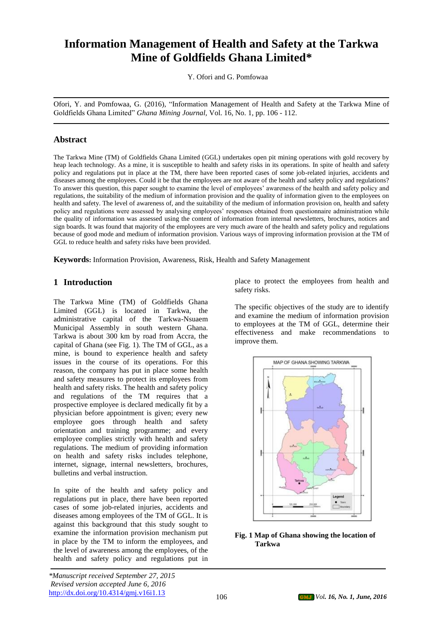# **Information Management of Health and Safety at the Tarkwa Mine of Goldfields Ghana Limited\***

Y. Ofori and G. Pomfowaa

Ofori, Y. and Pomfowaa, G. (2016), "Information Management of Health and Safety at the Tarkwa Mine of Goldfields Ghana Limited" *Ghana Mining Journal,* Vol. 16, No. 1, pp. 106 - 112.

# **Abstract**

The Tarkwa Mine (TM) of Goldfields Ghana Limited (GGL) undertakes open pit mining operations with gold recovery by heap leach technology. As a mine, it is susceptible to health and safety risks in its operations. In spite of health and safety policy and regulations put in place at the TM, there have been reported cases of some job-related injuries, accidents and diseases among the employees. Could it be that the employees are not aware of the health and safety policy and regulations? To answer this question, this paper sought to examine the level of employees' awareness of the health and safety policy and regulations, the suitability of the medium of information provision and the quality of information given to the employees on health and safety. The level of awareness of, and the suitability of the medium of information provision on, health and safety policy and regulations were assessed by analysing employees' responses obtained from questionnaire administration while the quality of information was assessed using the content of information from internal newsletters, brochures, notices and sign boards. It was found that majority of the employees are very much aware of the health and safety policy and regulations because of good mode and medium of information provision. Various ways of improving information provision at the TM of GGL to reduce health and safety risks have been provided.

**Keywords:** Information Provision, Awareness, Risk, Health and Safety Management

## **1 Introduction**

The Tarkwa Mine (TM) of Goldfields Ghana Limited (GGL) is located in Tarkwa, the administrative capital of the Tarkwa-Nsuaem Municipal Assembly in south western Ghana. Tarkwa is about 300 km by road from Accra, the capital of Ghana (see Fig. 1). The TM of GGL, as a mine, is bound to experience health and safety issues in the course of its operations. For this reason, the company has put in place some health and safety measures to protect its employees from health and safety risks. The health and safety policy and regulations of the TM requires that a prospective employee is declared medically fit by a physician before appointment is given; every new employee goes through health and safety orientation and training programme; and every employee complies strictly with health and safety regulations. The medium of providing information on health and safety risks includes telephone, internet, signage, internal newsletters, brochures, bulletins and verbal instruction.

In spite of the health and safety policy and regulations put in place, there have been reported cases of some job-related injuries, accidents and diseases among employees of the TM of GGL. It is against this background that this study sought to examine the information provision mechanism put in place by the TM to inform the employees, and the level of awareness among the employees, of the health and safety policy and regulations put in place to protect the employees from health and safety risks.

The specific objectives of the study are to identify and examine the medium of information provision to employees at the TM of GGL, determine their effectiveness and make recommendations to improve them.



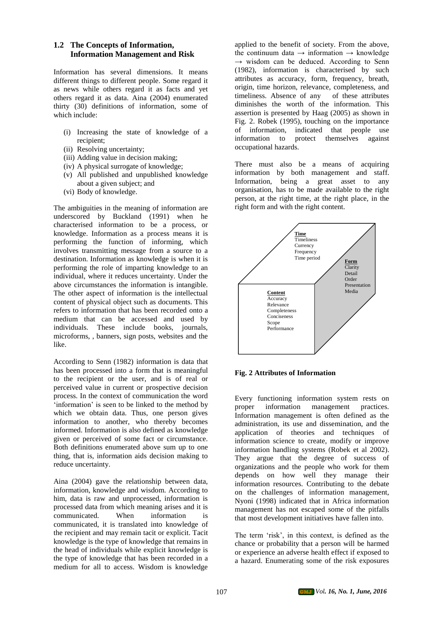## **1.2 The Concepts of Information, Information Management and Risk**

Information has several dimensions. It means different things to different people. Some regard it as news while others regard it as facts and yet others regard it as data. Aina (2004) enumerated thirty (30) definitions of information, some of which include:

- (i) Increasing the state of knowledge of a recipient;
- (ii) Resolving uncertainty;
- (iii) Adding value in decision making;
- (iv) A physical surrogate of knowledge;
- (v) All published and unpublished knowledge about a given subject; and
- (vi) Body of knowledge.

The ambiguities in the meaning of information are underscored by Buckland (1991) when he characterised information to be a process, or knowledge. Information as a process means it is performing the function of informing, which involves transmitting message from a source to a destination. Information as knowledge is when it is performing the role of imparting knowledge to an individual, where it reduces uncertainty. Under the above circumstances the information is intangible. The other aspect of information is the intellectual content of physical object such as documents. This refers to information that has been recorded onto a medium that can be accessed and used by individuals. These include books, journals, microforms, , banners, sign posts, websites and the like.

According to Senn (1982) information is data that has been processed into a form that is meaningful to the recipient or the user, and is of real or perceived value in current or prospective decision process. In the context of communication the word 'information' is seen to be linked to the method by which we obtain data. Thus, one person gives information to another, who thereby becomes informed. Information is also defined as knowledge given or perceived of some fact or circumstance. Both definitions enumerated above sum up to one thing, that is, information aids decision making to reduce uncertainty.

Aina (2004) gave the relationship between data, information, knowledge and wisdom. According to him, data is raw and unprocessed, information is processed data from which meaning arises and it is communicated. When information is communicated, it is translated into knowledge of the recipient and may remain tacit or explicit. Tacit knowledge is the type of knowledge that remains in the head of individuals while explicit knowledge is the type of knowledge that has been recorded in a medium for all to access. Wisdom is knowledge

applied to the benefit of society. From the above, the continuum data  $\rightarrow$  information  $\rightarrow$  knowledge  $\rightarrow$  wisdom can be deduced. According to Senn (1982), information is characterised by such attributes as accuracy, form, frequency, breath, origin, time horizon, relevance, completeness, and<br>timeliness. Absence of any of these attributes timeliness. Absence of any diminishes the worth of the information. This assertion is presented by Haag (2005) as shown in Fig. 2. Robek (1995), touching on the importance of information, indicated that people use information to protect themselves against occupational hazards.

There must also be a means of acquiring information by both management and staff. Information, being a great asset to any organisation, has to be made available to the right person, at the right time, at the right place, in the right form and with the right content.





Every functioning information system rests on proper information management practices. Information management is often defined as the administration, its use and dissemination, and the application of theories and techniques of information science to create, modify or improve information handling systems (Robek et al 2002). They argue that the degree of success of organizations and the people who work for them depends on how well they manage their information resources. Contributing to the debate on the challenges of information management, Nyoni (1998) indicated that in Africa information management has not escaped some of the pitfalls that most development initiatives have fallen into.

The term 'risk', in this context, is defined as the chance or probability that a person will be harmed or experience an adverse health effect if exposed to a hazard. Enumerating some of the risk exposures

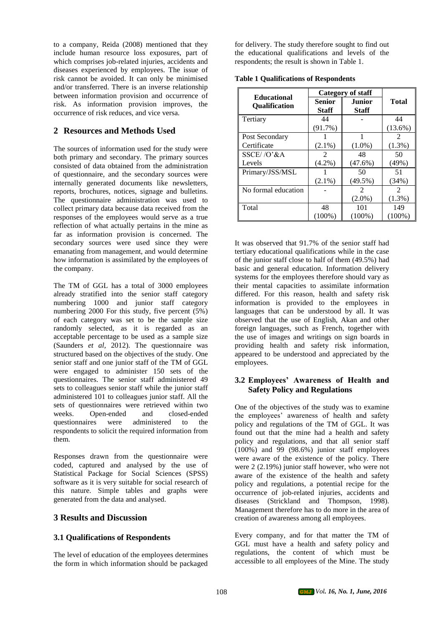to a company, Reida (2008) mentioned that they include human resource loss exposures, part of which comprises job-related injuries, accidents and diseases experienced by employees. The issue of risk cannot be avoided. It can only be minimised and/or transferred. There is an inverse relationship between information provision and occurrence of risk. As information provision improves, the occurrence of risk reduces, and vice versa.

# **2 Resources and Methods Used**

The sources of information used for the study were both primary and secondary. The primary sources consisted of data obtained from the administration of questionnaire, and the secondary sources were internally generated documents like newsletters, reports, brochures, notices, signage and bulletins. The questionnaire administration was used to collect primary data because data received from the responses of the employees would serve as a true reflection of what actually pertains in the mine as far as information provision is concerned. The secondary sources were used since they were emanating from management, and would determine how information is assimilated by the employees of the company.

The TM of GGL has a total of 3000 employees already stratified into the senior staff category numbering 1000 and junior staff category numbering 2000 For this study, five percent (5%) of each category was set to be the sample size randomly selected, as it is regarded as an acceptable percentage to be used as a sample size (Saunders *et al,* 2012). The questionnaire was structured based on the objectives of the study. One senior staff and one junior staff of the TM of GGL were engaged to administer 150 sets of the questionnaires. The senior staff administered 49 sets to colleagues senior staff while the junior staff administered 101 to colleagues junior staff. All the sets of questionnaires were retrieved within two weeks. Open-ended and closed-ended<br>questionnaires were administered to the questionnaires were administered to the respondents to solicit the required information from them.

Responses drawn from the questionnaire were coded, captured and analysed by the use of Statistical Package for Social Sciences (SPSS) software as it is very suitable for social research of this nature. Simple tables and graphs were generated from the data and analysed.

## **3 Results and Discussion**

## **3.1 Qualifications of Respondents**

The level of education of the employees determines the form in which information should be packaged

for delivery. The study therefore sought to find out the educational qualifications and levels of the respondents; the result is shown in Table 1.

|  |  | <b>Table 1 Qualifications of Respondents</b> |
|--|--|----------------------------------------------|
|--|--|----------------------------------------------|

|                                            | <b>Category of staff</b>      |                               |               |
|--------------------------------------------|-------------------------------|-------------------------------|---------------|
| <b>Educational</b><br><b>Oualification</b> | <b>Senior</b><br><b>Staff</b> | <b>Junior</b><br><b>Staff</b> | <b>Total</b>  |
| Tertiary                                   | 44                            |                               | 44            |
|                                            | $(91.7\%)$                    |                               | $(13.6\%)$    |
| Post Secondary                             |                               |                               | $\mathcal{L}$ |
| Certificate                                | $(2.1\%)$                     | $(1.0\%)$                     | $(1.3\%)$     |
| $SSEE/10'$ &A                              | $\mathcal{L}$                 | 48                            | 50            |
| Levels                                     | $(4.2\%)$                     | $(47.6\%)$                    | $(49\%)$      |
| Primary/JSS/MSL                            |                               | 50                            | 51            |
|                                            | $(2.1\%)$                     | $(49.5\%)$                    | $(34\%)$      |
| No formal education                        |                               | $\mathfrak{D}$                | $\mathcal{L}$ |
|                                            |                               | $(2.0\%)$                     | $(1.3\%)$     |
| Total                                      | 48                            | 101                           | 149           |
|                                            | $(100\%)$                     | (100%)                        | $(100\%)$     |

It was observed that 91.7% of the senior staff had tertiary educational qualifications while in the case of the junior staff close to half of them (49.5%) had basic and general education. Information delivery systems for the employees therefore should vary as their mental capacities to assimilate information differed. For this reason, health and safety risk information is provided to the employees in languages that can be understood by all. It was observed that the use of English, Akan and other foreign languages, such as French, together with the use of images and writings on sign boards in providing health and safety risk information, appeared to be understood and appreciated by the employees.

## **3.2 Employees' Awareness of Health and Safety Policy and Regulations**

One of the objectives of the study was to examine the employees' awareness of health and safety policy and regulations of the TM of GGL. It was found out that the mine had a health and safety policy and regulations, and that all senior staff  $(100%)$  and 99 (98.6%) junior staff employees were aware of the existence of the policy. There were 2 (2.19%) junior staff however, who were not aware of the existence of the health and safety policy and regulations, a potential recipe for the occurrence of job-related injuries, accidents and diseases (Strickland and Thompson, 1998). Management therefore has to do more in the area of creation of awareness among all employees.

Every company, and for that matter the TM of GGL must have a health and safety policy and regulations, the content of which must be accessible to all employees of the Mine. The study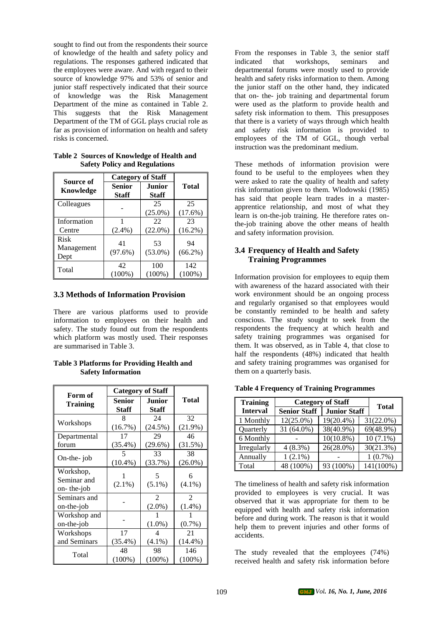sought to find out from the respondents their source of knowledge of the health and safety policy and regulations. The responses gathered indicated that the employees were aware. And with regard to their source of knowledge 97% and 53% of senior and junior staff respectively indicated that their source of knowledge was the Risk Management Department of the mine as contained in Table 2. This suggests that the Risk Management Department of the TM of GGL plays crucial role as far as provision of information on health and safety risks is concerned.

| Source of                  | <b>Category of Staff</b>      |                        |                  |
|----------------------------|-------------------------------|------------------------|------------------|
| Knowledge                  | <b>Senior</b><br><b>Staff</b> | Junior<br><b>Staff</b> | <b>Total</b>     |
| Colleagues                 |                               | 25<br>$(25.0\%)$       | 25<br>(17.6%)    |
| Information<br>Centre      | $(2.4\%)$                     | 22<br>$(22.0\%)$       | 23<br>$(16.2\%)$ |
| Risk<br>Management<br>Dept | 41<br>(97.6%)                 | 53<br>$(53.0\%)$       | 94<br>$(66.2\%)$ |
| Total                      | 42<br>$(100\%)$               | 100<br>$(100\%)$       | 142<br>$(100\%)$ |

**Table 2 Sources of Knowledge of Health and Safety Policy and Regulations**

#### **3.3 Methods of Information Provision**

There are various platforms used to provide information to employees on their health and safety. The study found out from the respondents which platform was mostly used. Their responses are summarised in Table 3.

**Table 3 Platforms for Providing Health and Safety Information**

| Form of                                   | <b>Category of Staff</b> |                 |                |
|-------------------------------------------|--------------------------|-----------------|----------------|
| Training                                  | Senior<br>Staff          | Junior<br>Staff | <b>Total</b>   |
| Workshops                                 | 8                        | 24              | 32             |
|                                           | (16.7%)                  | $(24.5\%)$      | $(21.9\%)$     |
| Departmental                              | 17                       | 29              | 46             |
| forum                                     | $(35.4\%)$               | $(29.6\%)$      | (31.5%)        |
| On-the-job                                | 5                        | 33              | 38             |
|                                           | $(10.4\%)$               | (33.7%)         | $(26.0\%)$     |
| Workshop,<br>Seminar and<br>$on$ -the-job | $(2.1\%)$                | 5<br>$(5.1\%)$  | 6<br>$(4.1\%)$ |
| Seminars and                              |                          | $\mathfrak{D}$  | $\mathcal{L}$  |
| on-the-job                                |                          | $(2.0\%)$       | $(1.4\%)$      |
| Workshop and<br>on-the-job                |                          | $(1.0\%)$       | 1<br>$(0.7\%)$ |
| Workshops                                 | 17                       | 4               | 21             |
| and Seminars                              | $(35.4\%)$               | $(4.1\%)$       | $(14.4\%)$     |
| Total                                     | 48                       | 98              | 146            |
|                                           | $(100\%)$                | $(100\%)$       | $(100\%)$      |

From the responses in Table 3, the senior staff<br>indicated that workshops, seminars and workshops, seminars and departmental forums were mostly used to provide health and safety risks information to them. Among the junior staff on the other hand, they indicated that on- the- job training and departmental forum were used as the platform to provide health and safety risk information to them. This presupposes that there is a variety of ways through which health and safety risk information is provided to employees of the TM of GGL, though verbal instruction was the predominant medium.

These methods of information provision were found to be useful to the employees when they were asked to rate the quality of health and safety risk information given to them. Wlodowski (1985) has said that people learn trades in a masterapprentice relationship, and most of what they learn is on-the-job training. He therefore rates onthe-job training above the other means of health and safety information provision.

#### **3.4 Frequency of Health and Safety Training Programmes**

Information provision for employees to equip them with awareness of the hazard associated with their work environment should be an ongoing process and regularly organised so that employees would be constantly reminded to be health and safety conscious. The study sought to seek from the respondents the frequency at which health and safety training programmes was organised for them. It was observed, as in Table 4, that close to half the respondents (48%) indicated that health and safety training programmes was organised for them on a quarterly basis.

| <b>Table 4 Frequency of Training Programmes</b> |                   |  |  |  |
|-------------------------------------------------|-------------------|--|--|--|
| Troining                                        | Category of Staff |  |  |  |

| <b>Training</b> | <b>Category of Staff</b> |                     |  | <b>Total</b> |
|-----------------|--------------------------|---------------------|--|--------------|
| <b>Interval</b> | <b>Senior Staff</b>      | <b>Junior Staff</b> |  |              |
| 1 Monthly       | $12(25.0\%)$             | 19(20.4%)           |  | $31(22.0\%)$ |
| Quarterly       | 31 (64.0%)               | 38(40.9%)           |  | 69(48.9%)    |
| 6 Monthly       |                          | $10(10.8\%)$        |  | $10(7.1\%)$  |
| Irregularly     | $4(8.3\%)$               | $26(28.0\%)$        |  | 30(21.3%)    |
| Annually        | $1(2.1\%)$               |                     |  | 1(0.7%)      |
| Total           | 48 (100%)                | 93 (100%)           |  | 141(100%)    |

The timeliness of health and safety risk information provided to employees is very crucial. It was observed that it was appropriate for them to be equipped with health and safety risk information before and during work. The reason is that it would help them to prevent injuries and other forms of accidents.

The study revealed that the employees (74%) received health and safety risk information before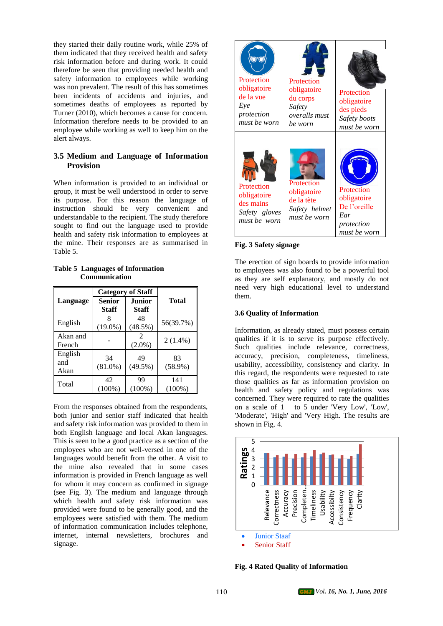they started their daily routine work, while 25% of them indicated that they received health and safety risk information before and during work. It could therefore be seen that providing needed health and safety information to employees while working was non prevalent. The result of this has sometimes been incidents of accidents and injuries, and sometimes deaths of employees as reported by Turner (2010), which becomes a cause for concern. Information therefore needs to be provided to an employee while working as well to keep him on the alert always.

#### **3.5 Medium and Language of Information Provision**

When information is provided to an individual or group, it must be well understood in order to serve its purpose. For this reason the language of instruction should be very convenient and understandable to the recipient. The study therefore sought to find out the language used to provide health and safety risk information to employees at the mine. Their responses are as summarised in Table 5.

#### **Table 5 Languages of Information Communication**

|                        | <b>Category of Staff</b> |                               |                  |
|------------------------|--------------------------|-------------------------------|------------------|
| Language               | Senior<br>Staff          | <b>Junior</b><br><b>Staff</b> | Total            |
| English                | $(19.0\%)$               | 48<br>(48.5%)                 | 56(39.7%)        |
| Akan and<br>French     |                          | 2<br>$(2.0\%)$                | $2(1.4\%)$       |
| English<br>and<br>Akan | 34<br>$(81.0\%)$         | 49<br>$(49.5\%)$              | 83<br>$(58.9\%)$ |
| Total                  | 42<br>$(100\%)$          | 99<br>$(100\%)$               | 141<br>$(100\%)$ |

From the responses obtained from the respondents, both junior and senior staff indicated that health and safety risk information was provided to them in both English language and local Akan languages. This is seen to be a good practice as a section of the employees who are not well-versed in one of the languages would benefit from the other. A visit to the mine also revealed that in some cases information is provided in French language as well for whom it may concern as confirmed in signage (see Fig. 3). The medium and language through which health and safety risk information was provided were found to be generally good, and the employees were satisfied with them. The medium of information communication includes telephone, internet, internal newsletters, brochures and signage.



#### **Fig. 3 Safety signage**

The erection of sign boards to provide information to employees was also found to be a powerful tool as they are self explanatory, and mostly do not need very high educational level to understand them.

#### **3.6 Quality of Information**

Information, as already stated, must possess certain qualities if it is to serve its purpose effectively. Such qualities include relevance, correctness, accuracy, precision, completeness, timeliness, usability, accessibility, consistency and clarity. In this regard, the respondents were requested to rate those qualities as far as information provision on health and safety policy and regulations was concerned. They were required to rate the qualities on a scale of 1 to 5 under 'Very Low', 'Low', 'Moderate', 'High' and 'Very High. The results are shown in Fig. 4.



**Fig. 4 Rated Quality of Information**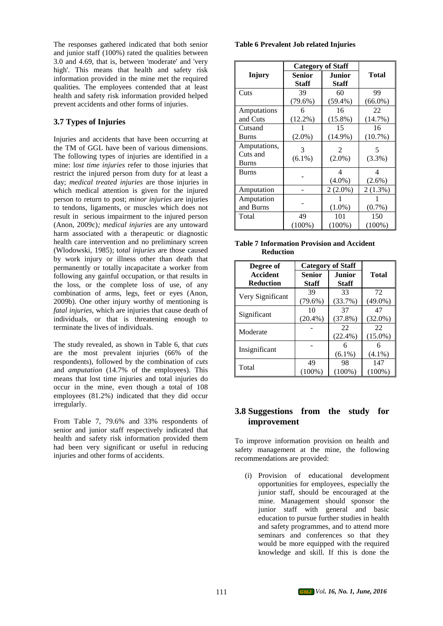The responses gathered indicated that both senior and junior staff (100%) rated the qualities between 3.0 and 4.69, that is, between 'moderate' and 'very high'. This means that health and safety risk information provided in the mine met the required qualities. The employees contended that at least health and safety risk information provided helped prevent accidents and other forms of injuries.

# **3.7 Types of Injuries**

Injuries and accidents that have been occurring at the TM of GGL have been of various dimensions. The following types of injuries are identified in a mine: l*ost time injuries* refer to those injuries that restrict the injured person from duty for at least a day; *medical treated injuries* are those injuries in which medical attention is given for the injured person to return to post; *minor injuries* are injuries to tendons, ligaments, or muscles which does not result in serious impairment to the injured person (Anon, 2009c)*; medical injuries* are any untoward harm associated with a therapeutic or diagnostic health care intervention and no preliminary screen (Wlodowski, 1985); t*otal injuries* are those caused by work injury or illness other than death that permanently or totally incapacitate a worker from following any gainful occupation, or that results in the loss, or the complete loss of use, of any combination of arms, legs, feet or eyes (Anon, 2009b). One other injury worthy of mentioning is *fatal injuries,* which are injuries that cause death of individuals, or that is threatening enough to terminate the lives of individuals.

The study revealed, as shown in Table 6, that *cuts* are the most prevalent injuries (66% of the respondents), followed by the combination of *cuts* and *amputation* (14.7% of the employees). This means that lost time injuries and total injuries do occur in the mine, even though a total of 108 employees (81.2%) indicated that they did occur irregularly.

From Table 7, 79.6% and 33% respondents of senior and junior staff respectively indicated that health and safety risk information provided them had been very significant or useful in reducing injuries and other forms of accidents.

#### **Table 6 Prevalent Job related Injuries**

|                                   | <b>Category of Staff</b> |                                          |                |
|-----------------------------------|--------------------------|------------------------------------------|----------------|
| Injury                            | Senior<br><b>Staff</b>   | Junior<br>Staff                          | Total          |
| Cuts                              | 39                       | 60                                       | 99             |
|                                   | $(79.6\%)$               | $(59.4\%)$                               | $(66.0\%)$     |
| Amputations                       | 6                        | 16                                       | 22             |
| and Cuts                          | $(12.2\%)$               | $(15.8\%)$                               | (14.7%)        |
| Cutsand                           |                          | 15                                       | 16             |
| <b>Burns</b>                      | $(2.0\%)$                | $(14.9\%)$                               | $(10.7\%)$     |
| Amputations,<br>Cuts and<br>Burns | 3<br>$(6.1\%)$           | $\mathcal{D}_{\mathcal{L}}$<br>$(2.0\%)$ | 5<br>$(3.3\%)$ |
| Burns                             |                          | 4                                        | 4              |
|                                   |                          | $(4.0\%)$                                | $(2.6\%)$      |
| Amputation                        |                          | $2(2.0\%)$                               | $2(1.3\%)$     |
| Amputation                        |                          |                                          |                |
| and Burns                         |                          | $(1.0\%)$                                | $(0.7\%)$      |
| Total                             | 49                       | 101                                      | 150            |
|                                   | $(100\%)$                | $(100\%)$                                | $(100\%)$      |

**Table 7 Information Provision and Accident Reduction**

| Degree of        | <b>Category of Staff</b> |               |              |
|------------------|--------------------------|---------------|--------------|
| <b>Accident</b>  | <b>Senior</b>            | <b>Junior</b> | <b>Total</b> |
| <b>Reduction</b> | <b>Staff</b>             | <b>Staff</b>  |              |
|                  | 39                       | 33            | 72           |
| Very Significant | $(79.6\%)$               | (33.7%)       | $(49.0\%)$   |
|                  | 10                       | 37            | 47           |
| Significant      | $(20.4\%)$               | $(37.8\%)$    | $(32.0\%)$   |
|                  |                          | 22            | 22           |
| Moderate         |                          | $(22.4\%)$    | $(15.0\%)$   |
|                  |                          |               |              |
| Insignificant    |                          | $(6.1\%)$     | $(4.1\%)$    |
|                  | 49                       | 98            | 147          |
| Total            | $(100\%)$                | $(100\%)$     | $(100\%)$    |

# **3.8 Suggestions from the study for improvement**

To improve information provision on health and safety management at the mine, the following recommendations are provided:

(i) Provision of educational development opportunities for employees, especially the junior staff, should be encouraged at the mine. Management should sponsor the junior staff with general and basic education to pursue further studies in health and safety programmes, and to attend more seminars and conferences so that they would be more equipped with the required knowledge and skill. If this is done the